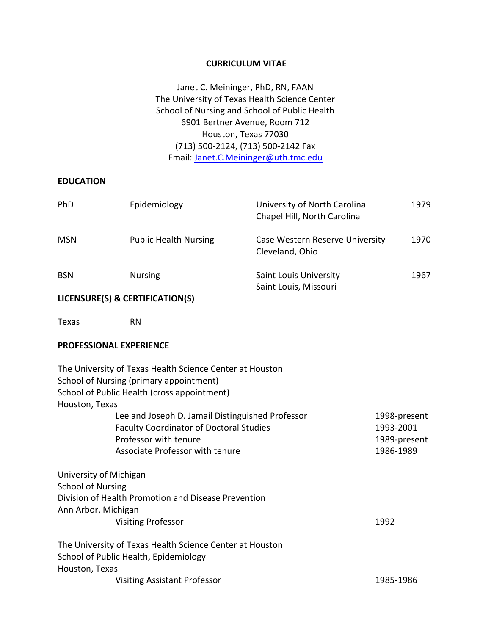#### **CURRICULUM VITAE**

Janet C. Meininger, PhD, RN, FAAN The University of Texas Health Science Center School of Nursing and School of Public Health 6901 Bertner Avenue, Room 712 Houston, Texas 77030 (713) 500-2124, (713) 500-2142 Fax Email: [Janet.C.Meininger@uth.tmc.edu](mailto:Janet.C.Meininger@uth.tmc.edu)

#### **EDUCATION**

| PhD        | Epidemiology                 | University of North Carolina<br>Chapel Hill, North Carolina | 1979 |
|------------|------------------------------|-------------------------------------------------------------|------|
| <b>MSN</b> | <b>Public Health Nursing</b> | Case Western Reserve University<br>Cleveland, Ohio          | 1970 |
| <b>BSN</b> | <b>Nursing</b>               | <b>Saint Louis University</b><br>Saint Louis, Missouri      | 1967 |

## **LICENSURE(S) & CERTIFICATION(S)**

Texas RN

#### **PROFESSIONAL EXPERIENCE**

| The University of Texas Health Science Center at Houston |              |
|----------------------------------------------------------|--------------|
| School of Nursing (primary appointment)                  |              |
| School of Public Health (cross appointment)              |              |
| Houston, Texas                                           |              |
| Lee and Joseph D. Jamail Distinguished Professor         | 1998-present |
| <b>Faculty Coordinator of Doctoral Studies</b>           | 1993-2001    |
| Professor with tenure                                    | 1989-present |
| Associate Professor with tenure                          | 1986-1989    |
| University of Michigan                                   |              |
| <b>School of Nursing</b>                                 |              |
| Division of Health Promotion and Disease Prevention      |              |
| Ann Arbor, Michigan                                      |              |
| Visiting Professor                                       | 1992         |
| The University of Texas Health Science Center at Houston |              |
| School of Public Health, Epidemiology                    |              |
| Houston, Texas                                           |              |
| <b>Visiting Assistant Professor</b>                      | 1985-1986    |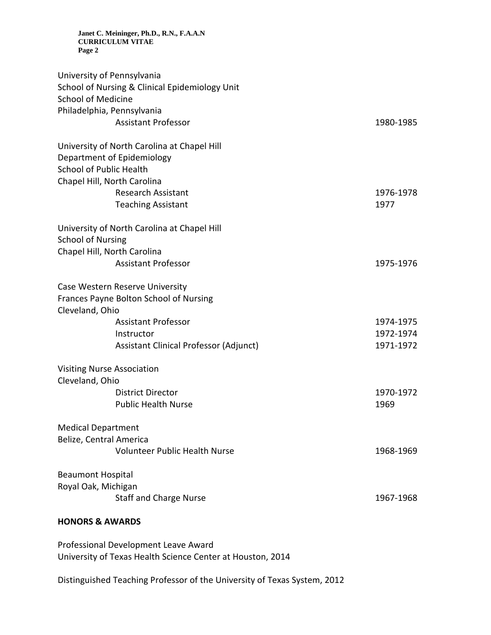| University of Pennsylvania<br>School of Nursing & Clinical Epidemiology Unit<br><b>School of Medicine</b><br>Philadelphia, Pennsylvania    |                   |
|--------------------------------------------------------------------------------------------------------------------------------------------|-------------------|
| <b>Assistant Professor</b>                                                                                                                 | 1980-1985         |
| University of North Carolina at Chapel Hill<br>Department of Epidemiology<br><b>School of Public Health</b><br>Chapel Hill, North Carolina |                   |
| <b>Research Assistant</b><br><b>Teaching Assistant</b>                                                                                     | 1976-1978<br>1977 |
| University of North Carolina at Chapel Hill<br><b>School of Nursing</b><br>Chapel Hill, North Carolina                                     |                   |
| <b>Assistant Professor</b>                                                                                                                 | 1975-1976         |
| Case Western Reserve University<br>Frances Payne Bolton School of Nursing<br>Cleveland, Ohio                                               |                   |
| <b>Assistant Professor</b>                                                                                                                 | 1974-1975         |
| Instructor                                                                                                                                 | 1972-1974         |
| Assistant Clinical Professor (Adjunct)                                                                                                     | 1971-1972         |
| <b>Visiting Nurse Association</b><br>Cleveland, Ohio                                                                                       |                   |
| <b>District Director</b>                                                                                                                   | 1970-1972         |
| <b>Public Health Nurse</b>                                                                                                                 | 1969              |
| <b>Medical Department</b><br>Belize, Central America                                                                                       |                   |
| Volunteer Public Health Nurse                                                                                                              | 1968-1969         |
| <b>Beaumont Hospital</b>                                                                                                                   |                   |
| Royal Oak, Michigan                                                                                                                        | 1967-1968         |
| <b>Staff and Charge Nurse</b>                                                                                                              |                   |
| <b>HONORS &amp; AWARDS</b>                                                                                                                 |                   |

Professional Development Leave Award University of Texas Health Science Center at Houston, 2014

Distinguished Teaching Professor of the University of Texas System, 2012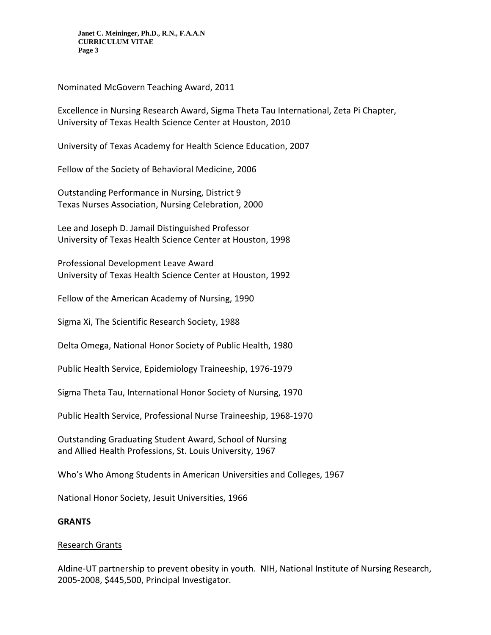Nominated McGovern Teaching Award, 2011

Excellence in Nursing Research Award, Sigma Theta Tau International, Zeta Pi Chapter, University of Texas Health Science Center at Houston, 2010

University of Texas Academy for Health Science Education, 2007

Fellow of the Society of Behavioral Medicine, 2006

Outstanding Performance in Nursing, District 9 Texas Nurses Association, Nursing Celebration, 2000

Lee and Joseph D. Jamail Distinguished Professor University of Texas Health Science Center at Houston, 1998

Professional Development Leave Award University of Texas Health Science Center at Houston, 1992

Fellow of the American Academy of Nursing, 1990

Sigma Xi, The Scientific Research Society, 1988

Delta Omega, National Honor Society of Public Health, 1980

Public Health Service, Epidemiology Traineeship, 1976-1979

Sigma Theta Tau, International Honor Society of Nursing, 1970

Public Health Service, Professional Nurse Traineeship, 1968-1970

Outstanding Graduating Student Award, School of Nursing and Allied Health Professions, St. Louis University, 1967

Who's Who Among Students in American Universities and Colleges, 1967

National Honor Society, Jesuit Universities, 1966

### **GRANTS**

### Research Grants

Aldine-UT partnership to prevent obesity in youth. NIH, National Institute of Nursing Research, 2005-2008, \$445,500, Principal Investigator.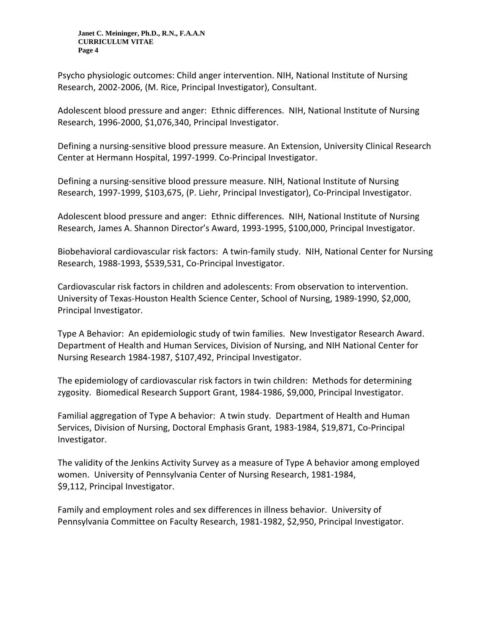Psycho physiologic outcomes: Child anger intervention. NIH, National Institute of Nursing Research, 2002-2006, (M. Rice, Principal Investigator), Consultant.

Adolescent blood pressure and anger: Ethnic differences. NIH, National Institute of Nursing Research, 1996-2000, \$1,076,340, Principal Investigator.

Defining a nursing-sensitive blood pressure measure. An Extension, University Clinical Research Center at Hermann Hospital, 1997-1999. Co-Principal Investigator.

Defining a nursing-sensitive blood pressure measure. NIH, National Institute of Nursing Research, 1997-1999, \$103,675, (P. Liehr, Principal Investigator), Co-Principal Investigator.

Adolescent blood pressure and anger: Ethnic differences. NIH, National Institute of Nursing Research, James A. Shannon Director's Award, 1993-1995, \$100,000, Principal Investigator.

Biobehavioral cardiovascular risk factors: A twin-family study. NIH, National Center for Nursing Research, 1988-1993, \$539,531, Co-Principal Investigator.

Cardiovascular risk factors in children and adolescents: From observation to intervention. University of Texas-Houston Health Science Center, School of Nursing, 1989-1990, \$2,000, Principal Investigator.

Type A Behavior: An epidemiologic study of twin families. New Investigator Research Award. Department of Health and Human Services, Division of Nursing, and NIH National Center for Nursing Research 1984-1987, \$107,492, Principal Investigator.

The epidemiology of cardiovascular risk factors in twin children: Methods for determining zygosity. Biomedical Research Support Grant, 1984-1986, \$9,000, Principal Investigator.

Familial aggregation of Type A behavior: A twin study. Department of Health and Human Services, Division of Nursing, Doctoral Emphasis Grant, 1983-1984, \$19,871, Co-Principal Investigator.

The validity of the Jenkins Activity Survey as a measure of Type A behavior among employed women. University of Pennsylvania Center of Nursing Research, 1981-1984, \$9,112, Principal Investigator.

Family and employment roles and sex differences in illness behavior. University of Pennsylvania Committee on Faculty Research, 1981-1982, \$2,950, Principal Investigator.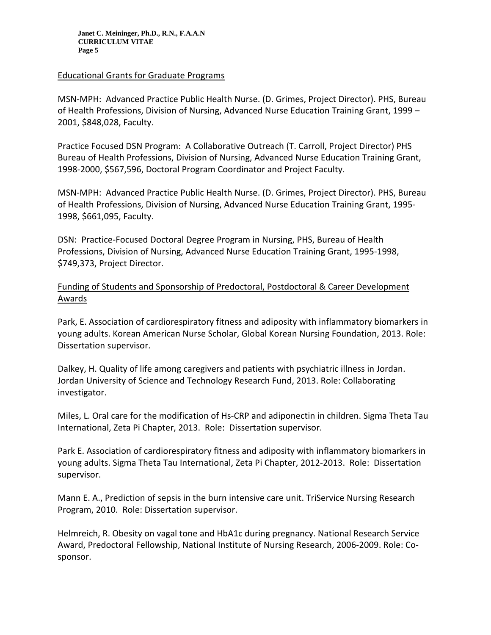#### Educational Grants for Graduate Programs

MSN-MPH: Advanced Practice Public Health Nurse. (D. Grimes, Project Director). PHS, Bureau of Health Professions, Division of Nursing, Advanced Nurse Education Training Grant, 1999 – 2001, \$848,028, Faculty.

Practice Focused DSN Program: A Collaborative Outreach (T. Carroll, Project Director) PHS Bureau of Health Professions, Division of Nursing, Advanced Nurse Education Training Grant, 1998-2000, \$567,596, Doctoral Program Coordinator and Project Faculty.

MSN-MPH: Advanced Practice Public Health Nurse. (D. Grimes, Project Director). PHS, Bureau of Health Professions, Division of Nursing, Advanced Nurse Education Training Grant, 1995- 1998, \$661,095, Faculty.

DSN: Practice-Focused Doctoral Degree Program in Nursing, PHS, Bureau of Health Professions, Division of Nursing, Advanced Nurse Education Training Grant, 1995-1998, \$749,373, Project Director.

# Funding of Students and Sponsorship of Predoctoral, Postdoctoral & Career Development Awards

Park, E. Association of cardiorespiratory fitness and adiposity with inflammatory biomarkers in young adults. Korean American Nurse Scholar, Global Korean Nursing Foundation, 2013. Role: Dissertation supervisor.

Dalkey, H. Quality of life among caregivers and patients with psychiatric illness in Jordan. Jordan University of Science and Technology Research Fund, 2013. Role: Collaborating investigator.

Miles, L. Oral care for the modification of Hs-CRP and adiponectin in children. Sigma Theta Tau International, Zeta Pi Chapter, 2013. Role: Dissertation supervisor.

Park E. Association of cardiorespiratory fitness and adiposity with inflammatory biomarkers in young adults. Sigma Theta Tau International, Zeta Pi Chapter, 2012-2013. Role: Dissertation supervisor.

Mann E. A., Prediction of sepsis in the burn intensive care unit. TriService Nursing Research Program, 2010. Role: Dissertation supervisor.

Helmreich, R. Obesity on vagal tone and HbA1c during pregnancy. National Research Service Award, Predoctoral Fellowship, National Institute of Nursing Research, 2006-2009. Role: Cosponsor.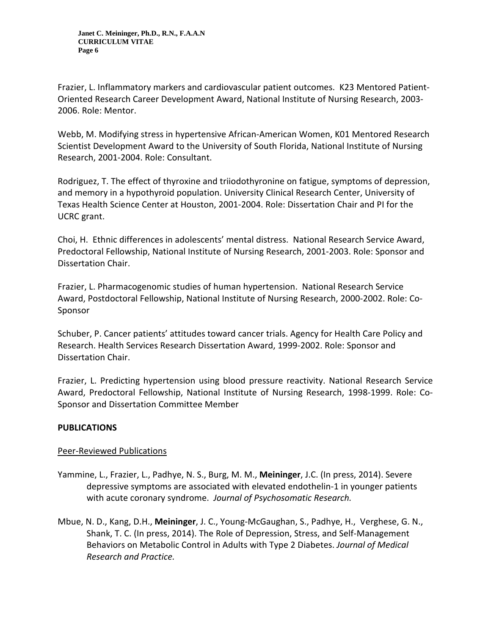Frazier, L. Inflammatory markers and cardiovascular patient outcomes. K23 Mentored Patient-Oriented Research Career Development Award, National Institute of Nursing Research, 2003- 2006. Role: Mentor.

Webb, M. Modifying stress in hypertensive African-American Women, K01 Mentored Research Scientist Development Award to the University of South Florida, National Institute of Nursing Research, 2001-2004. Role: Consultant.

Rodriguez, T. The effect of thyroxine and triiodothyronine on fatigue, symptoms of depression, and memory in a hypothyroid population. University Clinical Research Center, University of Texas Health Science Center at Houston, 2001-2004. Role: Dissertation Chair and PI for the UCRC grant.

Choi, H. Ethnic differences in adolescents' mental distress. National Research Service Award, Predoctoral Fellowship, National Institute of Nursing Research, 2001-2003. Role: Sponsor and Dissertation Chair.

Frazier, L. Pharmacogenomic studies of human hypertension. National Research Service Award, Postdoctoral Fellowship, National Institute of Nursing Research, 2000-2002. Role: Co-Sponsor

Schuber, P. Cancer patients' attitudes toward cancer trials. Agency for Health Care Policy and Research. Health Services Research Dissertation Award, 1999-2002. Role: Sponsor and Dissertation Chair.

Frazier, L. Predicting hypertension using blood pressure reactivity. National Research Service Award, Predoctoral Fellowship, National Institute of Nursing Research, 1998-1999. Role: Co-Sponsor and Dissertation Committee Member

# **PUBLICATIONS**

# Peer-Reviewed Publications

- Yammine, L., Frazier, L., Padhye, N. S., Burg, M. M., **Meininger**, J.C. (In press, 2014). Severe depressive symptoms are associated with elevated endothelin-1 in younger patients with acute coronary syndrome. *Journal of Psychosomatic Research.*
- Mbue, N. D., Kang, D.H., **Meininger**, J. C., Young-McGaughan, S., Padhye, H., Verghese, G. N., Shank, T. C. (In press, 2014). The Role of Depression, Stress, and Self-Management Behaviors on Metabolic Control in Adults with Type 2 Diabetes. *Journal of Medical Research and Practice.*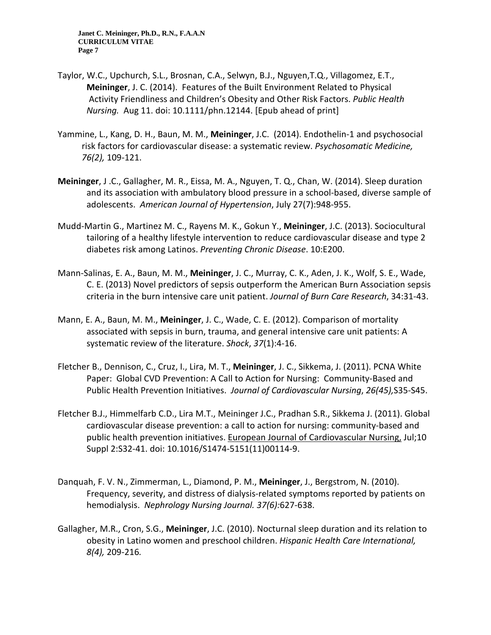- [Taylor,](http://www-ncbi-nlm-nih-gov.ezproxyhost.library.tmc.edu/pubmed?term=Taylor%20WC%5BAuthor%5D&cauthor=true&cauthor_uid=25112374) W.C., [Upchurch,](http://www-ncbi-nlm-nih-gov.ezproxyhost.library.tmc.edu/pubmed?term=Upchurch%20SL%5BAuthor%5D&cauthor=true&cauthor_uid=25112374) S.L., [Brosnan,](http://www-ncbi-nlm-nih-gov.ezproxyhost.library.tmc.edu/pubmed?term=Brosnan%20CA%5BAuthor%5D&cauthor=true&cauthor_uid=25112374) C.A., [Selwyn,](http://www-ncbi-nlm-nih-gov.ezproxyhost.library.tmc.edu/pubmed?term=Selwyn%20BJ%5BAuthor%5D&cauthor=true&cauthor_uid=25112374) B.J., [Nguyen,T.Q.](http://www-ncbi-nlm-nih-gov.ezproxyhost.library.tmc.edu/pubmed?term=Nguyen%20TQ%5BAuthor%5D&cauthor=true&cauthor_uid=25112374), [Villagomez,](http://www-ncbi-nlm-nih-gov.ezproxyhost.library.tmc.edu/pubmed?term=Villagomez%20ET%5BAuthor%5D&cauthor=true&cauthor_uid=25112374) E.T., **Meininger**, J. C. (2014). Features of the Built Environment Related to Physical Activity Friendliness and Children's Obesity and Other Risk Factors. *[Public Health](http://www-ncbi-nlm-nih-gov.ezproxyhost.library.tmc.edu/pubmed/25112374)  [Nursing.](http://www-ncbi-nlm-nih-gov.ezproxyhost.library.tmc.edu/pubmed/25112374)* Aug 11. doi: 10.1111/phn.12144. [Epub ahead of print]
- Yammine, L., Kang, D. H., Baun, M. M., **Meininger**, J.C. (2014). Endothelin-1 and psychosocial risk factors for cardiovascular disease: a systematic review. *Psychosomatic Medicine, 76(2),* 109-121.
- **Meininger**, J .C., Gallagher, M. R., Eissa, M. A., Nguyen, T. Q., Chan, W. (2014). Sleep duration and its association with ambulatory blood pressure in a school-based, diverse sample of adolescents. *American Journal of Hypertension*, July 27(7):948-955.
- Mudd-Martin G., Martinez M. C., Rayens M. K., Gokun Y., **Meininger**, J.C. (2013). Sociocultural tailoring of a healthy lifestyle intervention to reduce cardiovascular disease and type 2 diabetes risk among Latinos. *Preventing Chronic Disease*. 10:E200.
- Mann-Salinas, E. A., Baun, M. M., **Meininger**, J. C., Murray, C. K., Aden, J. K., Wolf, S. E., Wade, C. E. (2013) Novel predictors of sepsis outperform the American Burn Association sepsis criteria in the burn intensive care unit patient. *Journal of Burn Care Research*, 34:31-43.
- Mann, E. A., Baun, M. M., **Meininger**, J. C., Wade, C. E. (2012). Comparison of mortality associated with sepsis in burn, trauma, and general intensive care unit patients: A systematic review of the literature. *Shock*, *37*(1):4-16.
- Fletcher B., Dennison, C., Cruz, I., Lira, M. T., **Meininger**, J. C., Sikkema, J. (2011). PCNA White Paper: Global CVD Prevention: A Call to Action for Nursing: Community-Based and Public Health Prevention Initiatives. *Journal of Cardiovascular Nursing*, *26(45),*S35-S45.
- [Fletcher B.J.](http://www-ncbi-nlm-nih-gov.ezproxyhost.library.tmc.edu/pubmed?term=Fletcher%20BJ%5BAuthor%5D&cauthor=true&cauthor_uid=21762849), [Himmelfarb C.D.](http://www-ncbi-nlm-nih-gov.ezproxyhost.library.tmc.edu/pubmed?term=Himmelfarb%20CD%5BAuthor%5D&cauthor=true&cauthor_uid=21762849), [Lira M.T.](http://www-ncbi-nlm-nih-gov.ezproxyhost.library.tmc.edu/pubmed?term=Lira%20MT%5BAuthor%5D&cauthor=true&cauthor_uid=21762849), [Meininger J.C.](http://www-ncbi-nlm-nih-gov.ezproxyhost.library.tmc.edu/pubmed?term=Meininger%20JC%5BAuthor%5D&cauthor=true&cauthor_uid=21762849), [Pradhan S.R.](http://www-ncbi-nlm-nih-gov.ezproxyhost.library.tmc.edu/pubmed?term=Pradhan%20SR%5BAuthor%5D&cauthor=true&cauthor_uid=21762849), [Sikkema J.](http://www-ncbi-nlm-nih-gov.ezproxyhost.library.tmc.edu/pubmed?term=Sikkema%20J%5BAuthor%5D&cauthor=true&cauthor_uid=21762849) (2011). Global cardiovascular disease prevention: a call to action for nursing: community-based and public health prevention initiatives. [European Journal of Cardiovascular Nursing,](http://www-ncbi-nlm-nih-gov.ezproxyhost.library.tmc.edu/pubmed/21762849) Jul;10 Suppl 2:S32-41. doi: 10.1016/S1474-5151(11)00114-9.
- Danquah, F. V. N., Zimmerman, L., Diamond, P. M., **Meininger**, J., Bergstrom, N. (2010). Frequency, severity, and distress of dialysis-related symptoms reported by patients on hemodialysis. *Nephrology Nursing Journal. 37(6):*627-638.
- Gallagher, M.R., Cron, S.G., **Meininger**, J.C. (2010). Nocturnal sleep duration and its relation to obesity in Latino women and preschool children. *Hispanic Health Care International, 8(4),* 209-216*.*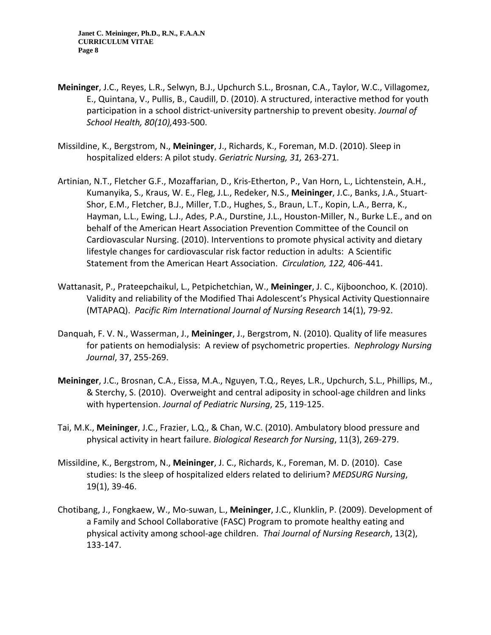- **Meininger**, J.C., Reyes, L.R., Selwyn, B.J., Upchurch S.L., Brosnan, C.A., Taylor, W.C., Villagomez, E., Quintana, V., Pullis, B., Caudill, D. (2010). A structured, interactive method for youth participation in a school district-university partnership to prevent obesity. *Journal of School Health, 80(10),*493-500.
- Missildine, K., Bergstrom, N., **Meininger**, J., Richards, K., Foreman, M.D. (2010). Sleep in hospitalized elders: A pilot study. *Geriatric Nursing, 31,* 263-271.
- Artinian, N.T., Fletcher G.F., Mozaffarian, D., Kris-Etherton, P., Van Horn, L., Lichtenstein, A.H., Kumanyika, S., Kraus, W. E., Fleg, J.L., Redeker, N.S., **Meininger**, J.C., Banks, J.A., Stuart-Shor, E.M., Fletcher, B.J., Miller, T.D., Hughes, S., Braun, L.T., Kopin, L.A., Berra, K., Hayman, L.L., Ewing, L.J., Ades, P.A., Durstine, J.L., Houston-Miller, N., Burke L.E., and on behalf of the American Heart Association Prevention Committee of the Council on Cardiovascular Nursing. (2010). Interventions to promote physical activity and dietary lifestyle changes for cardiovascular risk factor reduction in adults: A Scientific Statement from the American Heart Association. *Circulation, 122,* 406-441.
- Wattanasit, P., Prateepchaikul, L., Petpichetchian, W., **Meininger**, J. C., Kijboonchoo, K. (2010). Validity and reliability of the Modified Thai Adolescent's Physical Activity Questionnaire (MTAPAQ). *Pacific Rim International Journal of Nursing Research* 14(1), 79-92.
- Danquah, F. V. N., Wasserman, J., **Meininger**, J., Bergstrom, N. (2010). Quality of life measures for patients on hemodialysis: A review of psychometric properties. *Nephrology Nursing Journal*, 37, 255-269.
- **Meininger**, J.C., Brosnan, C.A., Eissa, M.A., Nguyen, T.Q., Reyes, L.R., Upchurch, S.L., Phillips, M., & Sterchy, S. (2010). Overweight and central adiposity in school-age children and links with hypertension. *Journal of Pediatric Nursing*, 25, 119-125.
- Tai, M.K., **Meininger**, J.C., Frazier, L.Q., & Chan, W.C. (2010). Ambulatory blood pressure and physical activity in heart failure. *Biological Research for Nursing*, 11(3), 269-279.
- Missildine, K., Bergstrom, N., **Meininger**, J. C., Richards, K., Foreman, M. D. (2010). Case studies: Is the sleep of hospitalized elders related to delirium? *MEDSURG Nursing*, 19(1), 39-46.
- Chotibang, J., Fongkaew, W., Mo-suwan, L., **Meininger**, J.C., Klunklin, P. (2009). Development of a Family and School Collaborative (FASC) Program to promote healthy eating and physical activity among school-age children. *Thai Journal of Nursing Research*, 13(2), 133-147.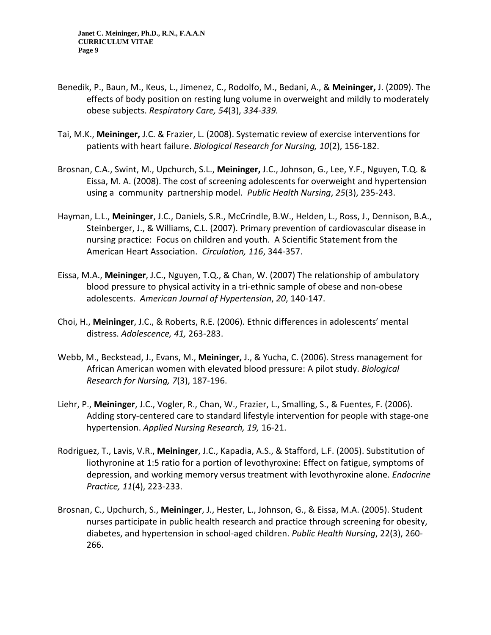- Benedik, P., Baun, M., Keus, L., Jimenez, C., Rodolfo, M., Bedani, A., & **Meininger,** J. (2009). The effects of body position on resting lung volume in overweight and mildly to moderately obese subjects. *Respiratory Care, 54*(3), *334-339.*
- Tai, M.K., **Meininger,** J.C. & Frazier, L. (2008). Systematic review of exercise interventions for patients with heart failure. *Biological Research for Nursing, 10*(2), 156-182.
- Brosnan, C.A., Swint, M., Upchurch, S.L., **Meininger,** J.C., Johnson, G., Lee, Y.F., Nguyen, T.Q. & Eissa, M. A. (2008). The cost of screening adolescents for overweight and hypertension using a community partnership model. *Public Health Nursing*, *25*(3), 235-243.
- Hayman, L.L., **Meininger**, J.C., Daniels, S.R., McCrindle, B.W., Helden, L., Ross, J., Dennison, B.A., Steinberger, J., & Williams, C.L. (2007). Primary prevention of cardiovascular disease in nursing practice: Focus on children and youth. A Scientific Statement from the American Heart Association. *Circulation, 116*, 344-357.
- Eissa, M.A., **Meininger**, J.C., Nguyen, T.Q., & Chan, W. (2007) The relationship of ambulatory blood pressure to physical activity in a tri-ethnic sample of obese and non-obese adolescents. *American Journal of Hypertension*, *20*, 140-147.
- Choi, H., **Meininger**, J.C., & Roberts, R.E. (2006). Ethnic differences in adolescents' mental distress. *Adolescence, 41,* 263-283.
- Webb, M., Beckstead, J., Evans, M., **Meininger,** J., & Yucha, C. (2006). Stress management for African American women with elevated blood pressure: A pilot study. *Biological Research for Nursing, 7*(3), 187-196.
- Liehr, P., **Meininger**, J.C., Vogler, R., Chan, W., Frazier, L., Smalling, S., & Fuentes, F. (2006). Adding story-centered care to standard lifestyle intervention for people with stage-one hypertension. *Applied Nursing Research, 19,* 16-21.
- Rodriguez, T., Lavis, V.R., **Meininger**, J.C., Kapadia, A.S., & Stafford, L.F. (2005). Substitution of liothyronine at 1:5 ratio for a portion of levothyroxine: Effect on fatigue, symptoms of depression, and working memory versus treatment with levothyroxine alone. *Endocrine Practice, 11*(4), 223-233.
- Brosnan, C., Upchurch, S., **Meininger**, J., Hester, L., Johnson, G., & Eissa, M.A. (2005). Student nurses participate in public health research and practice through screening for obesity, diabetes, and hypertension in school-aged children. *Public Health Nursing*, 22(3), 260- 266.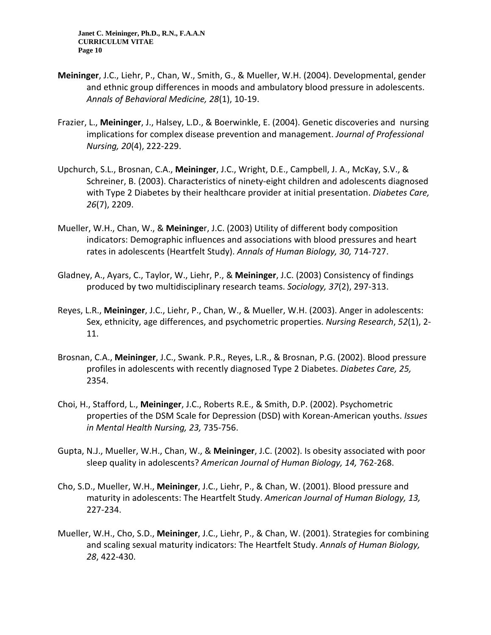- **Meininger**, J.C., Liehr, P., Chan, W., Smith, G., & Mueller, W.H. (2004). Developmental, gender and ethnic group differences in moods and ambulatory blood pressure in adolescents. *Annals of Behavioral Medicine, 28*(1), 10-19.
- Frazier, L., **Meininger**, J., Halsey, L.D., & Boerwinkle, E. (2004). Genetic discoveries and nursing implications for complex disease prevention and management. *Journal of Professional Nursing, 20*(4), 222-229.
- Upchurch, S.L., Brosnan, C.A., **Meininger**, J.C., Wright, D.E., Campbell, J. A., McKay, S.V., & Schreiner, B. (2003). Characteristics of ninety-eight children and adolescents diagnosed with Type 2 Diabetes by their healthcare provider at initial presentation. *Diabetes Care, 26*(7), 2209.
- Mueller, W.H., Chan, W., & **Meininge**r, J.C. (2003) Utility of different body composition indicators: Demographic influences and associations with blood pressures and heart rates in adolescents (Heartfelt Study). *Annals of Human Biology, 30,* 714-727.
- Gladney, A., Ayars, C., Taylor, W., Liehr, P., & **Meininger**, J.C. (2003) Consistency of findings produced by two multidisciplinary research teams. *Sociology, 37*(2), 297-313.
- Reyes, L.R., **Meininger**, J.C., Liehr, P., Chan, W., & Mueller, W.H. (2003). Anger in adolescents: Sex, ethnicity, age differences, and psychometric properties. *Nursing Research*, *52*(1), 2- 11.
- Brosnan, C.A., **Meininger**, J.C., Swank. P.R., Reyes, L.R., & Brosnan, P.G. (2002). Blood pressure profiles in adolescents with recently diagnosed Type 2 Diabetes. *Diabetes Care, 25,*  2354.
- Choi, H., Stafford, L., **Meininger**, J.C., Roberts R.E., & Smith, D.P. (2002). Psychometric properties of the DSM Scale for Depression (DSD) with Korean-American youths. *Issues in Mental Health Nursing, 23,* 735-756.
- Gupta, N.J., Mueller, W.H., Chan, W., & **Meininger**, J.C. (2002). Is obesity associated with poor sleep quality in adolescents? *American Journal of Human Biology, 14,* 762-268.
- Cho, S.D., Mueller, W.H., **Meininger**, J.C., Liehr, P., & Chan, W. (2001). Blood pressure and maturity in adolescents: The Heartfelt Study. *American Journal of Human Biology, 13,* 227-234.
- Mueller, W.H., Cho, S.D., **Meininger**, J.C., Liehr, P., & Chan, W. (2001). Strategies for combining and scaling sexual maturity indicators: The Heartfelt Study. *Annals of Human Biology, 28*, 422-430.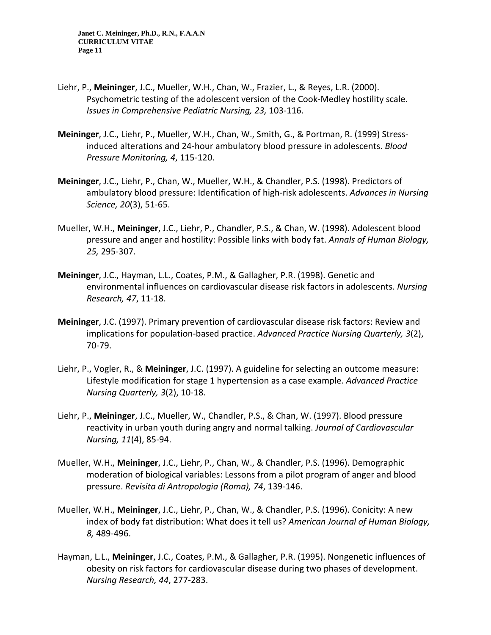- Liehr, P., **Meininger**, J.C., Mueller, W.H., Chan, W., Frazier, L., & Reyes, L.R. (2000). Psychometric testing of the adolescent version of the Cook-Medley hostility scale. *Issues in Comprehensive Pediatric Nursing, 23,* 103-116.
- **Meininger**, J.C., Liehr, P., Mueller, W.H., Chan, W., Smith, G., & Portman, R. (1999) Stressinduced alterations and 24-hour ambulatory blood pressure in adolescents. *Blood Pressure Monitoring, 4*, 115-120.
- **Meininger**, J.C., Liehr, P., Chan, W., Mueller, W.H., & Chandler, P.S. (1998). Predictors of ambulatory blood pressure: Identification of high-risk adolescents. *Advances in Nursing Science, 20*(3), 51-65.
- Mueller, W.H., **Meininger**, J.C., Liehr, P., Chandler, P.S., & Chan, W. (1998). Adolescent blood pressure and anger and hostility: Possible links with body fat. *Annals of Human Biology, 25,* 295-307.
- **Meininger**, J.C., Hayman, L.L., Coates, P.M., & Gallagher, P.R. (1998). Genetic and environmental influences on cardiovascular disease risk factors in adolescents. *Nursing Research, 47*, 11-18.
- **Meininger**, J.C. (1997). Primary prevention of cardiovascular disease risk factors: Review and implications for population-based practice. *Advanced Practice Nursing Quarterly, 3*(2), 70-79.
- Liehr, P., Vogler, R., & **Meininger**, J.C. (1997). A guideline for selecting an outcome measure: Lifestyle modification for stage 1 hypertension as a case example. *Advanced Practice Nursing Quarterly, 3*(2), 10-18.
- Liehr, P., **Meininger**, J.C., Mueller, W., Chandler, P.S., & Chan, W. (1997). Blood pressure reactivity in urban youth during angry and normal talking. *Journal of Cardiovascular Nursing, 11*(4), 85-94.
- Mueller, W.H., **Meininger**, J.C., Liehr, P., Chan, W., & Chandler, P.S. (1996). Demographic moderation of biological variables: Lessons from a pilot program of anger and blood pressure. *Revisita di Antropologia (Roma), 74*, 139-146.
- Mueller, W.H., **Meininger**, J.C., Liehr, P., Chan, W., & Chandler, P.S. (1996). Conicity: A new index of body fat distribution: What does it tell us? *American Journal of Human Biology, 8,* 489-496.
- Hayman, L.L., **Meininger**, J.C., Coates, P.M., & Gallagher, P.R. (1995). Nongenetic influences of obesity on risk factors for cardiovascular disease during two phases of development. *Nursing Research, 44*, 277-283.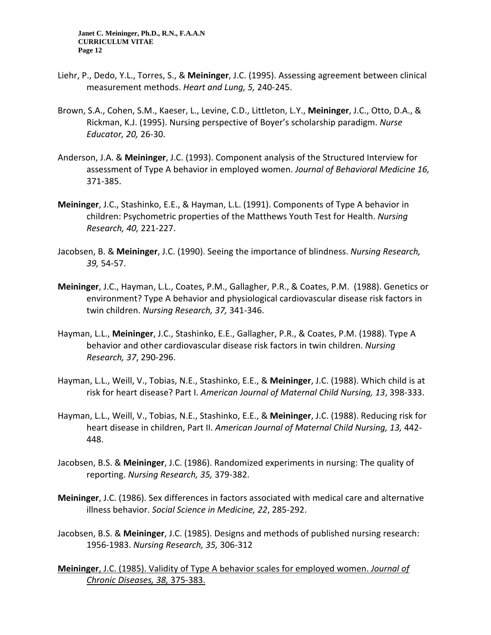- Liehr, P., Dedo, Y.L., Torres, S., & **Meininger**, J.C. (1995). Assessing agreement between clinical measurement methods. *Heart and Lung, 5,* 240-245.
- Brown, S.A., Cohen, S.M., Kaeser, L., Levine, C.D., Littleton, L.Y., **Meininger**, J.C., Otto, D.A., & Rickman, K.J. (1995). Nursing perspective of Boyer's scholarship paradigm. *Nurse Educator, 20,* 26-30.
- Anderson, J.A. & **Meininger**, J.C. (1993). Component analysis of the Structured Interview for assessment of Type A behavior in employed women. *Journal of Behavioral Medicine 16,* 371-385.
- **Meininger**, J.C., Stashinko, E.E., & Hayman, L.L. (1991). Components of Type A behavior in children: Psychometric properties of the Matthews Youth Test for Health. *Nursing Research, 40,* 221-227.
- Jacobsen, B. & **Meininger**, J.C. (1990). Seeing the importance of blindness. *Nursing Research, 39,* 54-57.
- **Meininger**, J.C., Hayman, L.L., Coates, P.M., Gallagher, P.R., & Coates, P.M. (1988). Genetics or environment? Type A behavior and physiological cardiovascular disease risk factors in twin children. *Nursing Research, 37,* 341-346.
- Hayman, L.L., **Meininger**, J.C., Stashinko, E.E., Gallagher, P.R., & Coates, P.M. (1988). Type A behavior and other cardiovascular disease risk factors in twin children. *Nursing Research, 37*, 290-296.
- Hayman, L.L., Weill, V., Tobias, N.E., Stashinko, E.E., & **Meininger**, J.C. (1988). Which child is at risk for heart disease? Part I. *American Journal of Maternal Child Nursing, 13*, 398-333.
- Hayman, L.L., Weill, V., Tobias, N.E., Stashinko, E.E., & **Meininger**, J.C. (1988). Reducing risk for heart disease in children, Part II. *American Journal of Maternal Child Nursing, 13,* 442- 448.
- Jacobsen, B.S. & **Meininger**, J.C. (1986). Randomized experiments in nursing: The quality of reporting. *Nursing Research, 35,* 379-382.
- **Meininger**, J.C. (1986). Sex differences in factors associated with medical care and alternative illness behavior. *Social Science in Medicine, 22*, 285-292.
- Jacobsen, B.S. & **Meininger**, J.C. (1985). Designs and methods of published nursing research: 1956-1983. *Nursing Research, 35,* 306-312
- **Meininger**, J.C. (1985). Validity of Type A behavior scales for employed women. *Journal of Chronic Diseases, 38,* 375-383.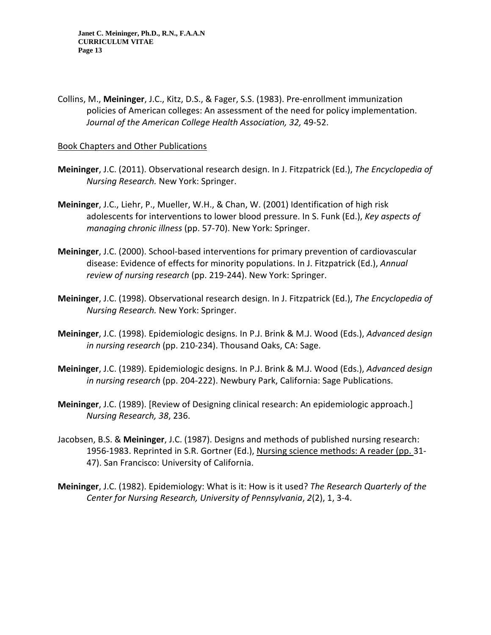Collins, M., **Meininger**, J.C., Kitz, D.S., & Fager, S.S. (1983). Pre-enrollment immunization policies of American colleges: An assessment of the need for policy implementation. *Journal of the American College Health Association, 32,* 49-52.

#### Book Chapters and Other Publications

- **Meininger**, J.C. (2011). Observational research design. In J. Fitzpatrick (Ed.), *The Encyclopedia of Nursing Research.* New York: Springer.
- **Meininger**, J.C., Liehr, P., Mueller, W.H., & Chan, W. (2001) Identification of high risk adolescents for interventions to lower blood pressure. In S. Funk (Ed.), *Key aspects of managing chronic illness* (pp. 57-70). New York: Springer.
- **Meininger**, J.C. (2000). School-based interventions for primary prevention of cardiovascular disease: Evidence of effects for minority populations. In J. Fitzpatrick (Ed.), *Annual review of nursing research* (pp. 219-244). New York: Springer.
- **Meininger**, J.C. (1998). Observational research design. In J. Fitzpatrick (Ed.), *The Encyclopedia of Nursing Research.* New York: Springer.
- **Meininger**, J.C. (1998). Epidemiologic designs. In P.J. Brink & M.J. Wood (Eds.), *Advanced design in nursing research* (pp. 210-234). Thousand Oaks, CA: Sage.
- **Meininger**, J.C. (1989). Epidemiologic designs. In P.J. Brink & M.J. Wood (Eds.), *Advanced design in nursing research* (pp. 204-222). Newbury Park, California: Sage Publications.
- **Meininger**, J.C. (1989). [Review of Designing clinical research: An epidemiologic approach.] *Nursing Research, 38*, 236.
- Jacobsen, B.S. & **Meininger**, J.C. (1987). Designs and methods of published nursing research: 1956-1983. Reprinted in S.R. Gortner (Ed.), Nursing science methods: A reader (pp. 31- 47). San Francisco: University of California.
- **Meininger**, J.C. (1982). Epidemiology: What is it: How is it used? *The Research Quarterly of the Center for Nursing Research, University of Pennsylvania*, *2*(2), 1, 3-4.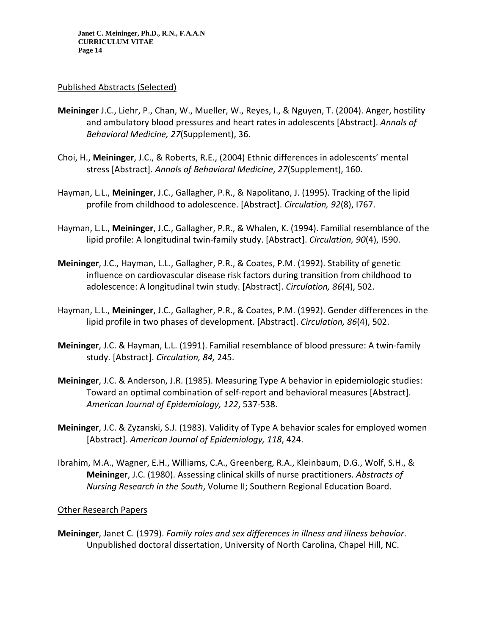#### Published Abstracts (Selected)

- **Meininger** J.C., Liehr, P., Chan, W., Mueller, W., Reyes, I., & Nguyen, T. (2004). Anger, hostility and ambulatory blood pressures and heart rates in adolescents [Abstract]. *Annals of Behavioral Medicine, 27*(Supplement), 36.
- Choi, H., **Meininger**, J.C., & Roberts, R.E., (2004) Ethnic differences in adolescents' mental stress [Abstract]. *Annals of Behavioral Medicine*, *27*(Supplement), 160.
- Hayman, L.L., **Meininger**, J.C., Gallagher, P.R., & Napolitano, J. (1995). Tracking of the lipid profile from childhood to adolescence. [Abstract]. *Circulation, 92*(8), I767.
- Hayman, L.L., **Meininger**, J.C., Gallagher, P.R., & Whalen, K. (1994). Familial resemblance of the lipid profile: A longitudinal twin-family study. [Abstract]. *Circulation, 90*(4), I590.
- **Meininger**, J.C., Hayman, L.L., Gallagher, P.R., & Coates, P.M. (1992). Stability of genetic influence on cardiovascular disease risk factors during transition from childhood to adolescence: A longitudinal twin study. [Abstract]. *Circulation, 86*(4), 502.
- Hayman, L.L., **Meininger**, J.C., Gallagher, P.R., & Coates, P.M. (1992). Gender differences in the lipid profile in two phases of development. [Abstract]. *Circulation, 86*(4), 502.
- **Meininger**, J.C. & Hayman, L.L. (1991). Familial resemblance of blood pressure: A twin-family study. [Abstract]. *Circulation, 84,* 245.
- **Meininger**, J.C. & Anderson, J.R. (1985). Measuring Type A behavior in epidemiologic studies: Toward an optimal combination of self-report and behavioral measures [Abstract]. *American Journal of Epidemiology, 122*, 537-538.
- **Meininger**, J.C. & Zyzanski, S.J. (1983). Validity of Type A behavior scales for employed women [Abstract]. *American Journal of Epidemiology, 118*, 424.
- Ibrahim, M.A., Wagner, E.H., Williams, C.A., Greenberg, R.A., Kleinbaum, D.G., Wolf, S.H., & **Meininger**, J.C. (1980). Assessing clinical skills of nurse practitioners. *Abstracts of Nursing Research in the South*, Volume II; Southern Regional Education Board.

#### Other Research Papers

**Meininger**, Janet C. (1979). *Family roles and sex differences in illness and illness behavior*. Unpublished doctoral dissertation, University of North Carolina, Chapel Hill, NC.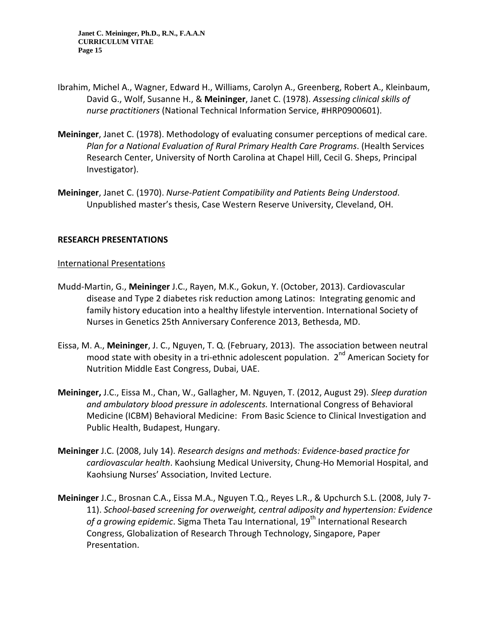- Ibrahim, Michel A., Wagner, Edward H., Williams, Carolyn A., Greenberg, Robert A., Kleinbaum, David G., Wolf, Susanne H., & **Meininger**, Janet C. (1978). *Assessing clinical skills of nurse practitioners* (National Technical Information Service, #HRP0900601).
- **Meininger**, Janet C. (1978). Methodology of evaluating consumer perceptions of medical care. *Plan for a National Evaluation of Rural Primary Health Care Programs*. (Health Services Research Center, University of North Carolina at Chapel Hill, Cecil G. Sheps, Principal Investigator).
- **Meininger**, Janet C. (1970). *Nurse-Patient Compatibility and Patients Being Understood*. Unpublished master's thesis, Case Western Reserve University, Cleveland, OH.

### **RESEARCH PRESENTATIONS**

### International Presentations

- Mudd-Martin, G., **Meininger** J.C., Rayen, M.K., Gokun, Y. (October, 2013). Cardiovascular disease and Type 2 diabetes risk reduction among Latinos: Integrating genomic and family history education into a healthy lifestyle intervention. International Society of Nurses in Genetics 25th Anniversary Conference 2013, Bethesda, MD.
- Eissa, M. A., **Meininger**, J. C., Nguyen, T. Q. (February, 2013). The association between neutral mood state with obesity in a tri-ethnic adolescent population. 2<sup>nd</sup> American Society for Nutrition Middle East Congress, Dubai, UAE.
- **Meininger,** J.C., Eissa M., Chan, W., Gallagher, M. Nguyen, T. (2012, August 29). *Sleep duration and ambulatory blood pressure in adolescents.* International Congress of Behavioral Medicine (ICBM) Behavioral Medicine: From Basic Science to Clinical Investigation and Public Health, Budapest, Hungary.
- **Meininger** J.C. (2008, July 14). *Research designs and methods: Evidence-based practice for cardiovascular health*. Kaohsiung Medical University, Chung-Ho Memorial Hospital, and Kaohsiung Nurses' Association, Invited Lecture.
- **Meininger** J.C., Brosnan C.A., Eissa M.A., Nguyen T.Q., Reyes L.R., & Upchurch S.L. (2008, July 7- 11). *School-based screening for overweight, central adiposity and hypertension: Evidence*  of a growing epidemic. Sigma Theta Tau International, 19<sup>th</sup> International Research Congress, Globalization of Research Through Technology, Singapore, Paper Presentation.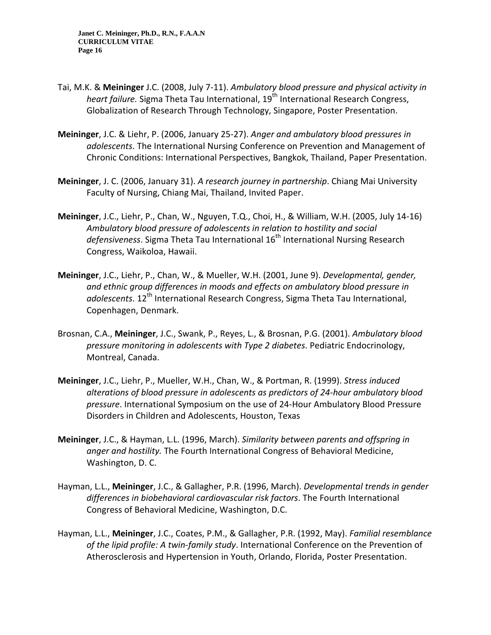- Tai, M.K. & **Meininger** J.C. (2008, July 7-11). *Ambulatory blood pressure and physical activity in heart failure.* Sigma Theta Tau International, 19<sup>th</sup> International Research Congress, Globalization of Research Through Technology, Singapore, Poster Presentation.
- **Meininger**, J.C. & Liehr, P. (2006, January 25-27). *Anger and ambulatory blood pressures in adolescents*. The International Nursing Conference on Prevention and Management of Chronic Conditions: International Perspectives, Bangkok, Thailand, Paper Presentation.
- **Meininger**, J. C. (2006, January 31). *A research journey in partnership*. Chiang Mai University Faculty of Nursing, Chiang Mai, Thailand, Invited Paper.
- **Meininger**, J.C., Liehr, P., Chan, W., Nguyen, T.Q., Choi, H., & William, W.H. (2005, July 14-16) *Ambulatory blood pressure of adolescents in relation to hostility and social*  defensiveness. Sigma Theta Tau International 16<sup>th</sup> International Nursing Research Congress, Waikoloa, Hawaii.
- **Meininger**, J.C., Liehr, P., Chan, W., & Mueller, W.H. (2001, June 9). *Developmental, gender, and ethnic group differences in moods and effects on ambulatory blood pressure in*  adolescents. 12<sup>th</sup> International Research Congress, Sigma Theta Tau International, Copenhagen, Denmark.
- Brosnan, C.A., **Meininger**, J.C., Swank, P., Reyes, L., & Brosnan, P.G. (2001). *Ambulatory blood pressure monitoring in adolescents with Type 2 diabetes*. Pediatric Endocrinology, Montreal, Canada.
- **Meininger**, J.C., Liehr, P., Mueller, W.H., Chan, W., & Portman, R. (1999). *Stress induced alterations of blood pressure in adolescents as predictors of 24-hour ambulatory blood pressure*. International Symposium on the use of 24-Hour Ambulatory Blood Pressure Disorders in Children and Adolescents, Houston, Texas
- **Meininger**, J.C., & Hayman, L.L. (1996, March). *Similarity between parents and offspring in anger and hostility.* The Fourth International Congress of Behavioral Medicine, Washington, D. C.
- Hayman, L.L., **Meininger**, J.C., & Gallagher, P.R. (1996, March). *Developmental trends in gender differences in biobehavioral cardiovascular risk factors*. The Fourth International Congress of Behavioral Medicine, Washington, D.C.
- Hayman, L.L., **Meininger**, J.C., Coates, P.M., & Gallagher, P.R. (1992, May). *Familial resemblance of the lipid profile: A twin-family study*. International Conference on the Prevention of Atherosclerosis and Hypertension in Youth, Orlando, Florida, Poster Presentation.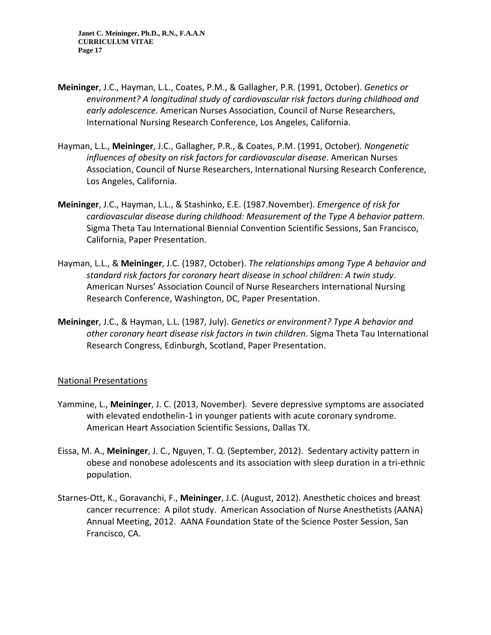- **Meininger**, J.C., Hayman, L.L., Coates, P.M., & Gallagher, P.R. (1991, October). *Genetics or environment? A longitudinal study of cardiovascular risk factors during childhood and early adolescence*. American Nurses Association, Council of Nurse Researchers, International Nursing Research Conference, Los Angeles, California.
- Hayman, L.L., **Meininger**, J.C., Gallagher, P.R., & Coates, P.M. (1991, October). *Nongenetic influences of obesity on risk factors for cardiovascular disease*. American Nurses Association, Council of Nurse Researchers, International Nursing Research Conference, Los Angeles, California.
- **Meininger**, J.C., Hayman, L.L., & Stashinko, E.E. (1987.November). *Emergence of risk for cardiovascular disease during childhood: Measurement of the Type A behavior pattern*. Sigma Theta Tau International Biennial Convention Scientific Sessions, San Francisco, California, Paper Presentation.
- Hayman, L.L., & **Meininger**, J.C. (1987, October). *The relationships among Type A behavior and standard risk factors for coronary heart disease in school children: A twin study*. American Nurses' Association Council of Nurse Researchers International Nursing Research Conference, Washington, DC, Paper Presentation.
- **Meininger**, J.C., & Hayman, L.L. (1987, July). *Genetics or environment? Type A behavior and other coronary heart disease risk factors in twin children*. Sigma Theta Tau International Research Congress, Edinburgh, Scotland, Paper Presentation.

### National Presentations

- Yammine, L., **Meininger**, J. C. (2013, November). Severe depressive symptoms are associated with elevated endothelin-1 in younger patients with acute coronary syndrome. American Heart Association Scientific Sessions, Dallas TX.
- Eissa, M. A., **Meininger**, J. C., Nguyen, T. Q. (September, 2012). Sedentary activity pattern in obese and nonobese adolescents and its association with sleep duration in a tri-ethnic population.
- Starnes-Ott, K., Goravanchi, F., **Meininger**, J.C. (August, 2012). Anesthetic choices and breast cancer recurrence: A pilot study. American Association of Nurse Anesthetists (AANA) Annual Meeting, 2012. AANA Foundation State of the Science Poster Session, San Francisco, CA.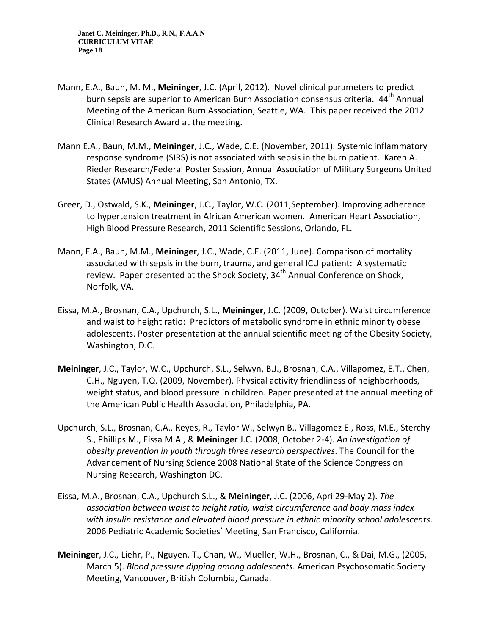- Mann, E.A., Baun, M. M., **Meininger**, J.C. (April, 2012). Novel clinical parameters to predict burn sepsis are superior to American Burn Association consensus criteria. 44<sup>th</sup> Annual Meeting of the American Burn Association, Seattle, WA. This paper received the 2012 Clinical Research Award at the meeting.
- Mann E.A., Baun, M.M., **Meininger**, J.C., Wade, C.E. (November, 2011). Systemic inflammatory response syndrome (SIRS) is not associated with sepsis in the burn patient. Karen A. Rieder Research/Federal Poster Session, Annual Association of Military Surgeons United States (AMUS) Annual Meeting, San Antonio, TX.
- Greer, D., Ostwald, S.K., **Meininger**, J.C., Taylor, W.C. (2011,September). Improving adherence to hypertension treatment in African American women. American Heart Association, High Blood Pressure Research, 2011 Scientific Sessions, Orlando, FL.
- Mann, E.A., Baun, M.M., **Meininger**, J.C., Wade, C.E. (2011, June). Comparison of mortality associated with sepsis in the burn, trauma, and general ICU patient: A systematic review. Paper presented at the Shock Society, 34<sup>th</sup> Annual Conference on Shock, Norfolk, VA.
- Eissa, M.A., Brosnan, C.A., Upchurch, S.L., **Meininger**, J.C. (2009, October). Waist circumference and waist to height ratio: Predictors of metabolic syndrome in ethnic minority obese adolescents. Poster presentation at the annual scientific meeting of the Obesity Society, Washington, D.C.
- **Meininger**, J.C., Taylor, W.C., Upchurch, S.L., Selwyn, B.J., Brosnan, C.A., Villagomez, E.T., Chen, C.H., Nguyen, T.Q. (2009, November). Physical activity friendliness of neighborhoods, weight status, and blood pressure in children. Paper presented at the annual meeting of the American Public Health Association, Philadelphia, PA.
- Upchurch, S.L., Brosnan, C.A., Reyes, R., Taylor W., Selwyn B., Villagomez E., Ross, M.E., Sterchy S., Phillips M., Eissa M.A., & **Meininger** J.C. (2008, October 2-4). *An investigation of obesity prevention in youth through three research perspectives*. The Council for the Advancement of Nursing Science 2008 National State of the Science Congress on Nursing Research, Washington DC.
- Eissa, M.A., Brosnan, C.A., Upchurch S.L., & **Meininger**, J.C. (2006, April29-May 2). *The association between waist to height ratio, waist circumference and body mass index with insulin resistance and elevated blood pressure in ethnic minority school adolescents*. 2006 Pediatric Academic Societies' Meeting, San Francisco, California.
- **Meininger**, J.C., Liehr, P., Nguyen, T., Chan, W., Mueller, W.H., Brosnan, C., & Dai, M.G., (2005, March 5). *Blood pressure dipping among adolescents*. American Psychosomatic Society Meeting, Vancouver, British Columbia, Canada.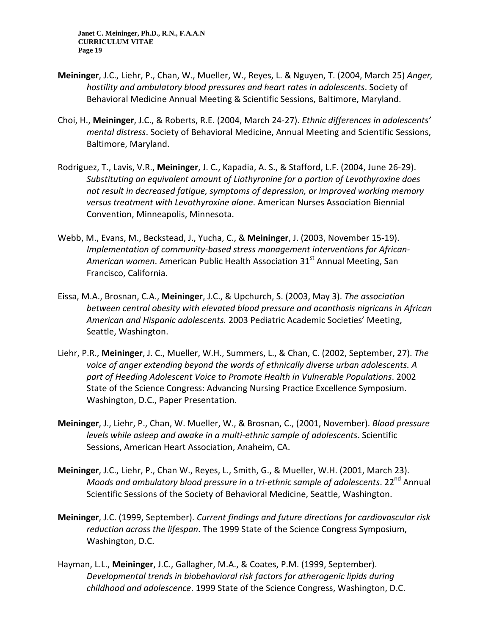- **Meininger**, J.C., Liehr, P., Chan, W., Mueller, W., Reyes, L. & Nguyen, T. (2004, March 25) *Anger, hostility and ambulatory blood pressures and heart rates in adolescents*. Society of Behavioral Medicine Annual Meeting & Scientific Sessions, Baltimore, Maryland.
- Choi, H., **Meininger**, J.C., & Roberts, R.E. (2004, March 24-27). *Ethnic differences in adolescents' mental distress*. Society of Behavioral Medicine, Annual Meeting and Scientific Sessions, Baltimore, Maryland.
- Rodriguez, T., Lavis, V.R., **Meininger**, J. C., Kapadia, A. S., & Stafford, L.F. (2004, June 26-29). *Substituting an equivalent amount of Liothyronine for a portion of Levothyroxine does not result in decreased fatigue, symptoms of depression, or improved working memory versus treatment with Levothyroxine alone*. American Nurses Association Biennial Convention, Minneapolis, Minnesota.
- Webb, M., Evans, M., Beckstead, J., Yucha, C., & **Meininger**, J. (2003, November 15-19). *Implementation of community-based stress management interventions for African-*American women. American Public Health Association 31<sup>st</sup> Annual Meeting, San Francisco, California.
- Eissa, M.A., Brosnan, C.A., **Meininger**, J.C., & Upchurch, S. (2003, May 3). *The association between central obesity with elevated blood pressure and acanthosis nigricans in African American and Hispanic adolescents.* 2003 Pediatric Academic Societies' Meeting, Seattle, Washington.
- Liehr, P.R., **Meininger**, J. C., Mueller, W.H., Summers, L., & Chan, C. (2002, September, 27). *The voice of anger extending beyond the words of ethnically diverse urban adolescents. A part of Heeding Adolescent Voice to Promote Health in Vulnerable Populations*. 2002 State of the Science Congress: Advancing Nursing Practice Excellence Symposium. Washington, D.C., Paper Presentation.
- **Meininger**, J., Liehr, P., Chan, W. Mueller, W., & Brosnan, C., (2001, November). *Blood pressure levels while asleep and awake in a multi-ethnic sample of adolescents*. Scientific Sessions, American Heart Association, Anaheim, CA.
- **Meininger**, J.C., Liehr, P., Chan W., Reyes, L., Smith, G., & Mueller, W.H. (2001, March 23). *Moods and ambulatory blood pressure in a tri-ethnic sample of adolescents.* 22<sup>nd</sup> Annual Scientific Sessions of the Society of Behavioral Medicine, Seattle, Washington.
- **Meininger**, J.C. (1999, September). *Current findings and future directions for cardiovascular risk reduction across the lifespan*. The 1999 State of the Science Congress Symposium, Washington, D.C.
- Hayman, L.L., **Meininger**, J.C., Gallagher, M.A., & Coates, P.M. (1999, September). *Developmental trends in biobehavioral risk factors for atherogenic lipids during childhood and adolescence*. 1999 State of the Science Congress, Washington, D.C.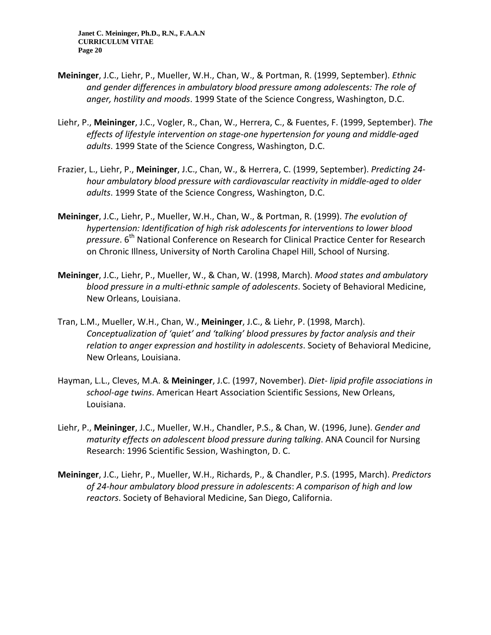- **Meininger**, J.C., Liehr, P., Mueller, W.H., Chan, W., & Portman, R. (1999, September). *Ethnic and gender differences in ambulatory blood pressure among adolescents: The role of anger, hostility and moods*. 1999 State of the Science Congress, Washington, D.C.
- Liehr, P., **Meininger**, J.C., Vogler, R., Chan, W., Herrera, C., & Fuentes, F. (1999, September). *The effects of lifestyle intervention on stage-one hypertension for young and middle-aged adults*. 1999 State of the Science Congress, Washington, D.C.
- Frazier, L., Liehr, P., **Meininger**, J.C., Chan, W., & Herrera, C. (1999, September). *Predicting 24 hour ambulatory blood pressure with cardiovascular reactivity in middle-aged to older adults*. 1999 State of the Science Congress, Washington, D.C.
- **Meininger**, J.C., Liehr, P., Mueller, W.H., Chan, W., & Portman, R. (1999). *The evolution of hypertension: Identification of high risk adolescents for interventions to lower blood pressure*. 6<sup>th</sup> National Conference on Research for Clinical Practice Center for Research on Chronic Illness, University of North Carolina Chapel Hill, School of Nursing.
- **Meininger**, J.C., Liehr, P., Mueller, W., & Chan, W. (1998, March). *Mood states and ambulatory blood pressure in a multi-ethnic sample of adolescents*. Society of Behavioral Medicine, New Orleans, Louisiana.
- Tran, L.M., Mueller, W.H., Chan, W., **Meininger**, J.C., & Liehr, P. (1998, March). *Conceptualization of 'quiet' and 'talking' blood pressures by factor analysis and their relation to anger expression and hostility in adolescents*. Society of Behavioral Medicine, New Orleans, Louisiana.
- Hayman, L.L., Cleves, M.A. & **Meininger**, J.C. (1997, November). *Diet- lipid profile associations in school-age twins*. American Heart Association Scientific Sessions, New Orleans, Louisiana.
- Liehr, P., **Meininger**, J.C., Mueller, W.H., Chandler, P.S., & Chan, W. (1996, June). *Gender and maturity effects on adolescent blood pressure during talking*. ANA Council for Nursing Research: 1996 Scientific Session, Washington, D. C.
- **Meininger**, J.C., Liehr, P., Mueller, W.H., Richards, P., & Chandler, P.S. (1995, March). *Predictors of 24-hour ambulatory blood pressure in adolescents*: *A comparison of high and low reactors*. Society of Behavioral Medicine, San Diego, California.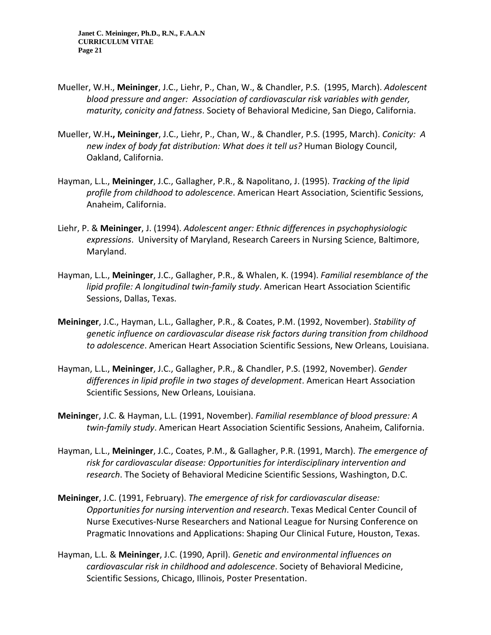- Mueller, W.H., **Meininger**, J.C., Liehr, P., Chan, W., & Chandler, P.S. (1995, March). *Adolescent blood pressure and anger: Association of cardiovascular risk variables with gender, maturity, conicity and fatness*. Society of Behavioral Medicine, San Diego, California.
- Mueller, W.H**., Meininger**, J.C., Liehr, P., Chan, W., & Chandler, P.S. (1995, March). *Conicity: A new index of body fat distribution: What does it tell us?* Human Biology Council, Oakland, California.
- Hayman, L.L., **Meininger**, J.C., Gallagher, P.R., & Napolitano, J. (1995). *Tracking of the lipid profile from childhood to adolescence*. American Heart Association, Scientific Sessions, Anaheim, California.
- Liehr, P. & **Meininger**, J. (1994). *Adolescent anger: Ethnic differences in psychophysiologic expressions*. University of Maryland, Research Careers in Nursing Science, Baltimore, Maryland.
- Hayman, L.L., **Meininger**, J.C., Gallagher, P.R., & Whalen, K. (1994). *Familial resemblance of the lipid profile: A longitudinal twin-family study*. American Heart Association Scientific Sessions, Dallas, Texas.
- **Meininger**, J.C., Hayman, L.L., Gallagher, P.R., & Coates, P.M. (1992, November). *Stability of genetic influence on cardiovascular disease risk factors during transition from childhood to adolescence*. American Heart Association Scientific Sessions, New Orleans, Louisiana.
- Hayman, L.L., **Meininger**, J.C., Gallagher, P.R., & Chandler, P.S. (1992, November). *Gender differences in lipid profile in two stages of development*. American Heart Association Scientific Sessions, New Orleans, Louisiana.
- **Meininge**r, J.C. & Hayman, L.L. (1991, November). *Familial resemblance of blood pressure: A twin-family study*. American Heart Association Scientific Sessions, Anaheim, California.
- Hayman, L.L., **Meininger**, J.C., Coates, P.M., & Gallagher, P.R. (1991, March). *The emergence of risk for cardiovascular disease: Opportunities for interdisciplinary intervention and research*. The Society of Behavioral Medicine Scientific Sessions, Washington, D.C.
- **Meininger**, J.C. (1991, February). *The emergence of risk for cardiovascular disease: Opportunities for nursing intervention and research*. Texas Medical Center Council of Nurse Executives-Nurse Researchers and National League for Nursing Conference on Pragmatic Innovations and Applications: Shaping Our Clinical Future, Houston, Texas.
- Hayman, L.L. & **Meininger**, J.C. (1990, April). *Genetic and environmental influences on cardiovascular risk in childhood and adolescence*. Society of Behavioral Medicine, Scientific Sessions, Chicago, Illinois, Poster Presentation.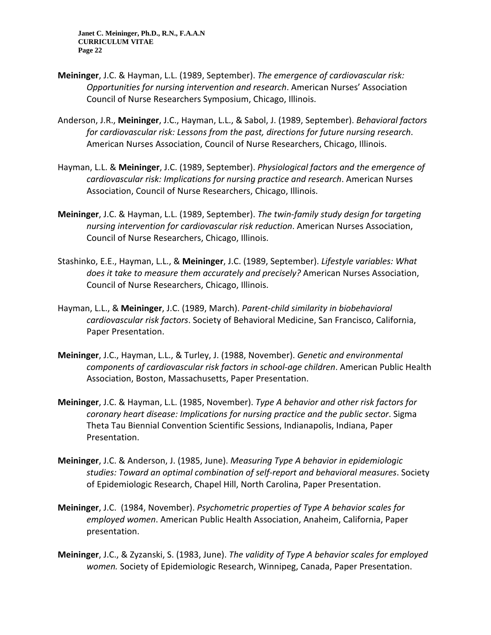- **Meininger**, J.C. & Hayman, L.L. (1989, September). *The emergence of cardiovascular risk: Opportunities for nursing intervention and research*. American Nurses' Association Council of Nurse Researchers Symposium, Chicago, Illinois.
- Anderson, J.R., **Meininger**, J.C., Hayman, L.L., & Sabol, J. (1989, September). *Behavioral factors for cardiovascular risk: Lessons from the past, directions for future nursing research*. American Nurses Association, Council of Nurse Researchers, Chicago, Illinois.
- Hayman, L.L. & **Meininger**, J.C. (1989, September). *Physiological factors and the emergence of cardiovascular risk: Implications for nursing practice and research*. American Nurses Association, Council of Nurse Researchers, Chicago, Illinois.
- **Meininger**, J.C. & Hayman, L.L. (1989, September). *The twin-family study design for targeting nursing intervention for cardiovascular risk reduction*. American Nurses Association, Council of Nurse Researchers, Chicago, Illinois.
- Stashinko, E.E., Hayman, L.L., & **Meininger**, J.C. (1989, September). *Lifestyle variables: What does it take to measure them accurately and precisely?* American Nurses Association, Council of Nurse Researchers, Chicago, Illinois.
- Hayman, L.L., & **Meininger**, J.C. (1989, March). *Parent-child similarity in biobehavioral cardiovascular risk factors*. Society of Behavioral Medicine, San Francisco, California, Paper Presentation.
- **Meininger**, J.C., Hayman, L.L., & Turley, J. (1988, November). *Genetic and environmental components of cardiovascular risk factors in school-age children*. American Public Health Association, Boston, Massachusetts, Paper Presentation.
- **Meininger**, J.C. & Hayman, L.L. (1985, November). *Type A behavior and other risk factors for coronary heart disease: Implications for nursing practice and the public sector*. Sigma Theta Tau Biennial Convention Scientific Sessions, Indianapolis, Indiana, Paper Presentation.
- **Meininger**, J.C. & Anderson, J. (1985, June). *Measuring Type A behavior in epidemiologic studies: Toward an optimal combination of self-report and behavioral measures*. Society of Epidemiologic Research, Chapel Hill, North Carolina, Paper Presentation.
- **Meininger**, J.C. (1984, November). *Psychometric properties of Type A behavior scales for employed women*. American Public Health Association, Anaheim, California, Paper presentation.
- **Meininger**, J.C., & Zyzanski, S. (1983, June). *The validity of Type A behavior scales for employed women.* Society of Epidemiologic Research, Winnipeg, Canada, Paper Presentation.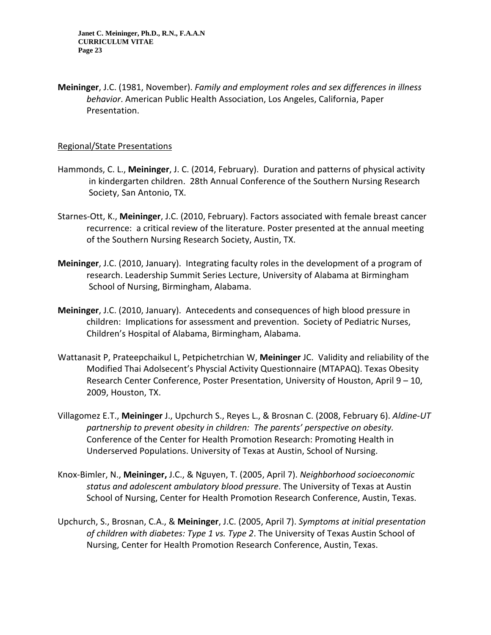**Meininger**, J.C. (1981, November). *Family and employment roles and sex differences in illness behavior*. American Public Health Association, Los Angeles, California, Paper Presentation.

#### Regional/State Presentations

- Hammonds, C. L., **Meininger**, J. C. (2014, February). Duration and patterns of physical activity in kindergarten children. 28th Annual Conference of the Southern Nursing Research Society, San Antonio, TX.
- Starnes-Ott, K., **Meininger**, J.C. (2010, February). Factors associated with female breast cancer recurrence: a critical review of the literature. Poster presented at the annual meeting of the Southern Nursing Research Society, Austin, TX.
- **Meininger**, J.C. (2010, January). Integrating faculty roles in the development of a program of research. Leadership Summit Series Lecture, University of Alabama at Birmingham School of Nursing, Birmingham, Alabama.
- **Meininger**, J.C. (2010, January). Antecedents and consequences of high blood pressure in children: Implications for assessment and prevention. Society of Pediatric Nurses, Children's Hospital of Alabama, Birmingham, Alabama.
- Wattanasit P, Prateepchaikul L, Petpichetrchian W, **Meininger** JC. Validity and reliability of the Modified Thai Adolsecent's Physcial Activity Questionnaire (MTAPAQ). Texas Obesity Research Center Conference, Poster Presentation, University of Houston, April 9 – 10, 2009, Houston, TX.
- Villagomez E.T., **Meininger** J., Upchurch S., Reyes L., & Brosnan C. (2008, February 6). *Aldine-UT partnership to prevent obesity in children: The parents' perspective on obesity.*  Conference of the Center for Health Promotion Research: Promoting Health in Underserved Populations. University of Texas at Austin, School of Nursing.
- Knox-Bimler, N., **Meininger,** J.C., & Nguyen, T. (2005, April 7). *Neighborhood socioeconomic status and adolescent ambulatory blood pressure*. The University of Texas at Austin School of Nursing, Center for Health Promotion Research Conference, Austin, Texas.
- Upchurch, S., Brosnan, C.A., & **Meininger**, J.C. (2005, April 7). *Symptoms at initial presentation of children with diabetes: Type 1 vs. Type 2*. The University of Texas Austin School of Nursing, Center for Health Promotion Research Conference, Austin, Texas.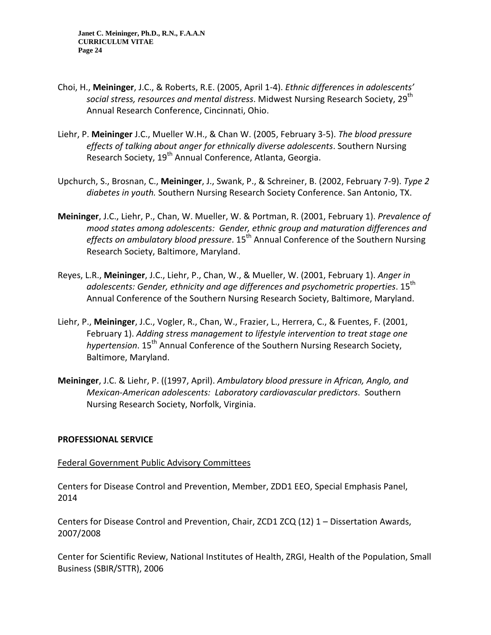- Choi, H., **Meininger**, J.C., & Roberts, R.E. (2005, April 1-4). *Ethnic differences in adolescents' social stress, resources and mental distress.* Midwest Nursing Research Society, 29<sup>th</sup> Annual Research Conference, Cincinnati, Ohio.
- Liehr, P. **Meininger** J.C., Mueller W.H., & Chan W. (2005, February 3-5). *The blood pressure effects of talking about anger for ethnically diverse adolescents*. Southern Nursing Research Society, 19<sup>th</sup> Annual Conference, Atlanta, Georgia.
- Upchurch, S., Brosnan, C., **Meininger**, J., Swank, P., & Schreiner, B. (2002, February 7-9). *Type 2 diabetes in youth.* Southern Nursing Research Society Conference. San Antonio, TX.
- **Meininger**, J.C., Liehr, P., Chan, W. Mueller, W. & Portman, R. (2001, February 1). *Prevalence of mood states among adolescents: Gender, ethnic group and maturation differences and*  effects on ambulatory blood pressure. 15<sup>th</sup> Annual Conference of the Southern Nursing Research Society, Baltimore, Maryland.
- Reyes, L.R., **Meininger**, J.C., Liehr, P., Chan, W., & Mueller, W. (2001, February 1). *Anger in*  adolescents: Gender, ethnicity and age differences and psychometric properties. 15<sup>th</sup> Annual Conference of the Southern Nursing Research Society, Baltimore, Maryland.
- Liehr, P., **Meininger**, J.C., Vogler, R., Chan, W., Frazier, L., Herrera, C., & Fuentes, F. (2001, February 1). *Adding stress management to lifestyle intervention to treat stage one hypertension*. 15<sup>th</sup> Annual Conference of the Southern Nursing Research Society, Baltimore, Maryland.
- **Meininger**, J.C. & Liehr, P. ((1997, April). *Ambulatory blood pressure in African, Anglo, and Mexican-American adolescents: Laboratory cardiovascular predictors*. Southern Nursing Research Society, Norfolk, Virginia.

### **PROFESSIONAL SERVICE**

#### Federal Government Public Advisory Committees

Centers for Disease Control and Prevention, Member, ZDD1 EEO, Special Emphasis Panel, 2014

Centers for Disease Control and Prevention, Chair, ZCD1 ZCQ (12) 1 – Dissertation Awards, 2007/2008

Center for Scientific Review, National Institutes of Health, ZRGI, Health of the Population, Small Business (SBIR/STTR), 2006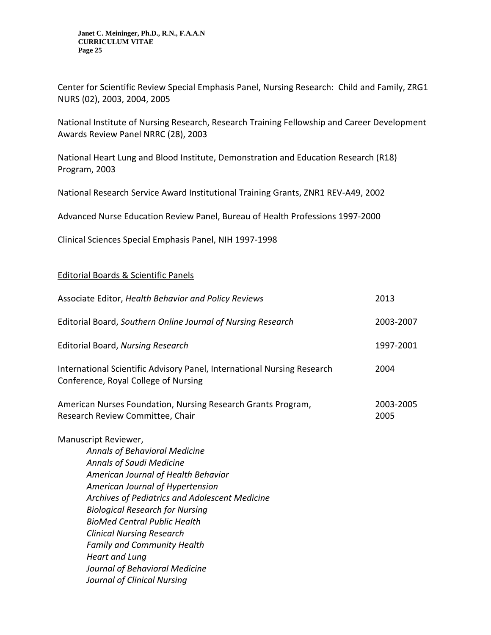Center for Scientific Review Special Emphasis Panel, Nursing Research: Child and Family, ZRG1 NURS (02), 2003, 2004, 2005

National Institute of Nursing Research, Research Training Fellowship and Career Development Awards Review Panel NRRC (28), 2003

National Heart Lung and Blood Institute, Demonstration and Education Research (R18) Program, 2003

National Research Service Award Institutional Training Grants, ZNR1 REV-A49, 2002

Advanced Nurse Education Review Panel, Bureau of Health Professions 1997-2000

Clinical Sciences Special Emphasis Panel, NIH 1997-1998

### Editorial Boards & Scientific Panels

*Heart and Lung*

*Journal of Behavioral Medicine Journal of Clinical Nursing*

| Associate Editor, Health Behavior and Policy Reviews                                                                                                                                                                                                                                                                                                                                    | 2013              |
|-----------------------------------------------------------------------------------------------------------------------------------------------------------------------------------------------------------------------------------------------------------------------------------------------------------------------------------------------------------------------------------------|-------------------|
| Editorial Board, Southern Online Journal of Nursing Research                                                                                                                                                                                                                                                                                                                            | 2003-2007         |
| <b>Editorial Board, Nursing Research</b>                                                                                                                                                                                                                                                                                                                                                | 1997-2001         |
| International Scientific Advisory Panel, International Nursing Research<br>Conference, Royal College of Nursing                                                                                                                                                                                                                                                                         | 2004              |
| American Nurses Foundation, Nursing Research Grants Program,<br>Research Review Committee, Chair                                                                                                                                                                                                                                                                                        | 2003-2005<br>2005 |
| Manuscript Reviewer,<br><b>Annals of Behavioral Medicine</b><br><b>Annals of Saudi Medicine</b><br>American Journal of Health Behavior<br>American Journal of Hypertension<br>Archives of Pediatrics and Adolescent Medicine<br><b>Biological Research for Nursing</b><br><b>BioMed Central Public Health</b><br><b>Clinical Nursing Research</b><br><b>Family and Community Health</b> |                   |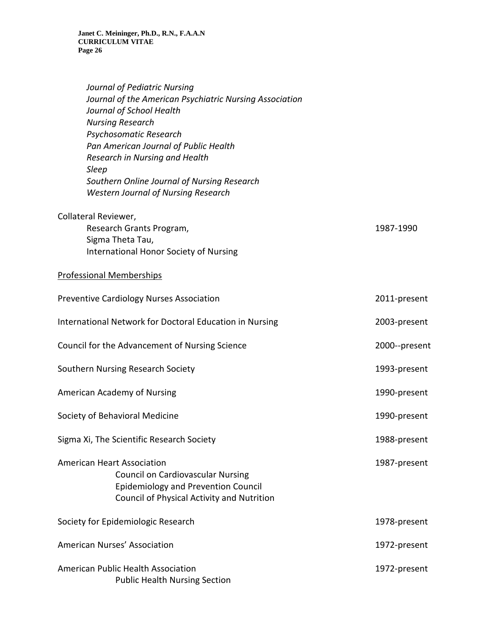| Journal of Pediatric Nursing                            |
|---------------------------------------------------------|
| Journal of the American Psychiatric Nursing Association |
| Journal of School Health                                |
| <b>Nursing Research</b>                                 |
| Psychosomatic Research                                  |
| Pan American Journal of Public Health                   |
| Research in Nursing and Health                          |
| Sleep                                                   |
| Southern Online Journal of Nursing Research             |
| <b>Western Journal of Nursing Research</b>              |

| Collateral Reviewer,     |           |
|--------------------------|-----------|
| Research Grants Program, | 1987-1990 |
| Sigma Theta Tau,         |           |

International Honor Society of Nursing

# Professional Memberships

| Preventive Cardiology Nurses Association                                                                                                                                  | 2011-present  |
|---------------------------------------------------------------------------------------------------------------------------------------------------------------------------|---------------|
| International Network for Doctoral Education in Nursing                                                                                                                   | 2003-present  |
| Council for the Advancement of Nursing Science                                                                                                                            | 2000--present |
| Southern Nursing Research Society                                                                                                                                         | 1993-present  |
| American Academy of Nursing                                                                                                                                               | 1990-present  |
| Society of Behavioral Medicine                                                                                                                                            | 1990-present  |
| Sigma Xi, The Scientific Research Society                                                                                                                                 | 1988-present  |
| <b>American Heart Association</b><br><b>Council on Cardiovascular Nursing</b><br><b>Epidemiology and Prevention Council</b><br>Council of Physical Activity and Nutrition | 1987-present  |
| Society for Epidemiologic Research                                                                                                                                        | 1978-present  |
| American Nurses' Association                                                                                                                                              | 1972-present  |
| American Public Health Association<br><b>Public Health Nursing Section</b>                                                                                                | 1972-present  |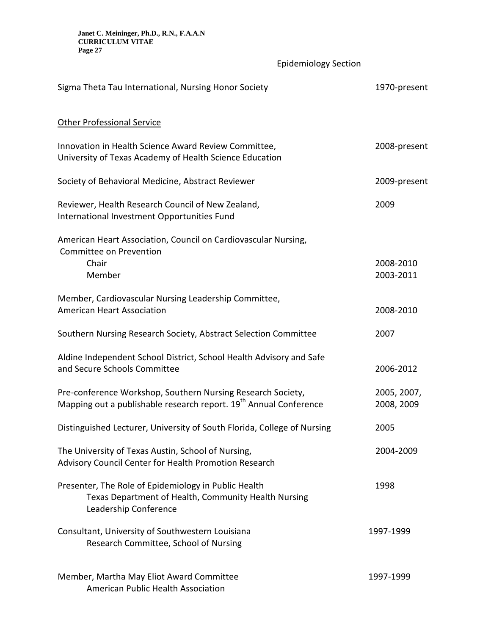Epidemiology Section

| Sigma Theta Tau International, Nursing Honor Society                                                                                         | 1970-present              |
|----------------------------------------------------------------------------------------------------------------------------------------------|---------------------------|
| <b>Other Professional Service</b>                                                                                                            |                           |
| Innovation in Health Science Award Review Committee,<br>University of Texas Academy of Health Science Education                              | 2008-present              |
| Society of Behavioral Medicine, Abstract Reviewer                                                                                            | 2009-present              |
| Reviewer, Health Research Council of New Zealand,<br>International Investment Opportunities Fund                                             | 2009                      |
| American Heart Association, Council on Cardiovascular Nursing,<br>Committee on Prevention<br>Chair<br>Member                                 | 2008-2010<br>2003-2011    |
| Member, Cardiovascular Nursing Leadership Committee,<br><b>American Heart Association</b>                                                    | 2008-2010                 |
| Southern Nursing Research Society, Abstract Selection Committee                                                                              | 2007                      |
| Aldine Independent School District, School Health Advisory and Safe<br>and Secure Schools Committee                                          | 2006-2012                 |
| Pre-conference Workshop, Southern Nursing Research Society,<br>Mapping out a publishable research report. 19 <sup>th</sup> Annual Conference | 2005, 2007,<br>2008, 2009 |
| Distinguished Lecturer, University of South Florida, College of Nursing                                                                      | 2005                      |
| The University of Texas Austin, School of Nursing,<br>Advisory Council Center for Health Promotion Research                                  | 2004-2009                 |
| Presenter, The Role of Epidemiology in Public Health<br>Texas Department of Health, Community Health Nursing<br>Leadership Conference        | 1998                      |
| Consultant, University of Southwestern Louisiana<br>Research Committee, School of Nursing                                                    | 1997-1999                 |
| Member, Martha May Eliot Award Committee<br>American Public Health Association                                                               | 1997-1999                 |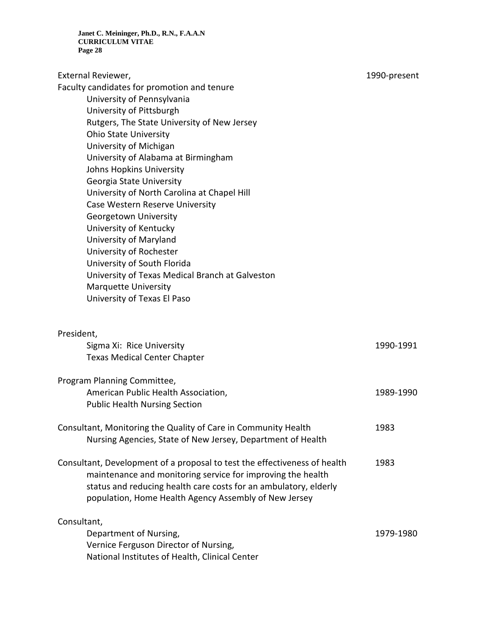External Reviewer, 1990-present

Faculty candidates for promotion and tenure

University of Pennsylvania University of Pittsburgh Rutgers, The State University of New Jersey Ohio State University University of Michigan University of Alabama at Birmingham Johns Hopkins University Georgia State University University of North Carolina at Chapel Hill Case Western Reserve University Georgetown University University of Kentucky University of Maryland University of Rochester University of South Florida University of Texas Medical Branch at Galveston Marquette University University of Texas El Paso

#### President,

| Sigma Xi: Rice University                                                                                                                                                                                                                                             | 1990-1991 |
|-----------------------------------------------------------------------------------------------------------------------------------------------------------------------------------------------------------------------------------------------------------------------|-----------|
| <b>Texas Medical Center Chapter</b>                                                                                                                                                                                                                                   |           |
| Program Planning Committee,                                                                                                                                                                                                                                           |           |
| American Public Health Association,                                                                                                                                                                                                                                   | 1989-1990 |
| <b>Public Health Nursing Section</b>                                                                                                                                                                                                                                  |           |
| Consultant, Monitoring the Quality of Care in Community Health<br>Nursing Agencies, State of New Jersey, Department of Health                                                                                                                                         | 1983      |
| Consultant, Development of a proposal to test the effectiveness of health<br>maintenance and monitoring service for improving the health<br>status and reducing health care costs for an ambulatory, elderly<br>population, Home Health Agency Assembly of New Jersey | 1983      |
| Consultant,                                                                                                                                                                                                                                                           |           |
| Department of Nursing,                                                                                                                                                                                                                                                | 1979-1980 |
| Vernice Ferguson Director of Nursing,                                                                                                                                                                                                                                 |           |
| National Institutes of Health, Clinical Center                                                                                                                                                                                                                        |           |